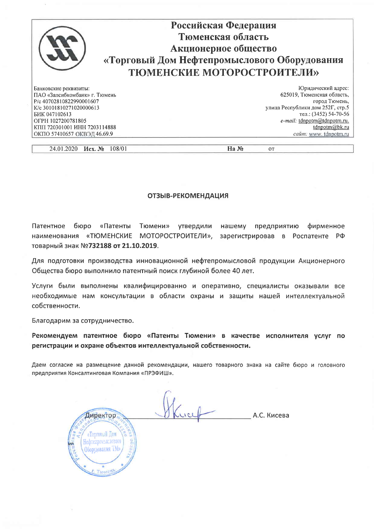| Российская Федерация                                        |
|-------------------------------------------------------------|
| Тюменская область                                           |
| Акционерное общество                                        |
| «Торговый Дом Нефтепромыслового Оборудования                |
| <b>ТЮМЕНСКИЕ МОТОРОСТРОИТЕЛИ»</b>                           |
| Юридический адрес:                                          |
| 625019, Тюменская область,<br>ПАО «Запсибкомбанк» г. Тюмень |
| город Тюмень,                                               |
| улица Республики дом 252Г, стр.5                            |
| тел.: (3452) 54-70-56                                       |
| e-mail: tdnpotm@tdnpotm.ru.                                 |
| КПП 720301001 ИНН 7203114888<br>$t$ dnpotm $@$ bk.ru        |
| ОКПО 57410657 ОКВЭД 46.69.9<br>caŭm: www. tdnpotm.ru        |
| P/c 40702810822990001607<br>K/c 30101810271020000613        |

24.01.2020 Исх. № 108/01

 $Ha N<sub>2</sub>$ 

 $_{\text{OT}}$ 

## **ОТЗЫВ-РЕКОМЕНДАЦИЯ**

Патентное бюро «Патенты Тюмени» утвердили нашему предприятию фирменное наименования «ТЮМЕНСКИЕ МОТОРОСТРОИТЕЛИ», зарегистрировав в Роспатенте РФ товарный знак №732188 от 21.10.2019.

Для подготовки производства инновационной нефтепромысловой продукции Акционерного Общества бюро выполнило патентный поиск глубиной более 40 лет.

Услуги были выполнены квалифицированно и оперативно, специалисты оказывали все необходимые нам консультации в области охраны и защиты нашей интеллектуальной собственности.

Благодарим за сотрудничество.

Рекомендуем патентное бюро «Патенты Тюмени» в качестве исполнителя услуг по регистрации и охране объектов интеллектуальной собственности.

Даем согласие на размещение данной рекомендации, нашего товарного знака на сайте бюро и головного предприятия Консалтинговая Компания «ПРЭФИШ».

А.С. Кисева Директор «Торговый Дем Нефтепромыслового Оборудования ТМб Tromett